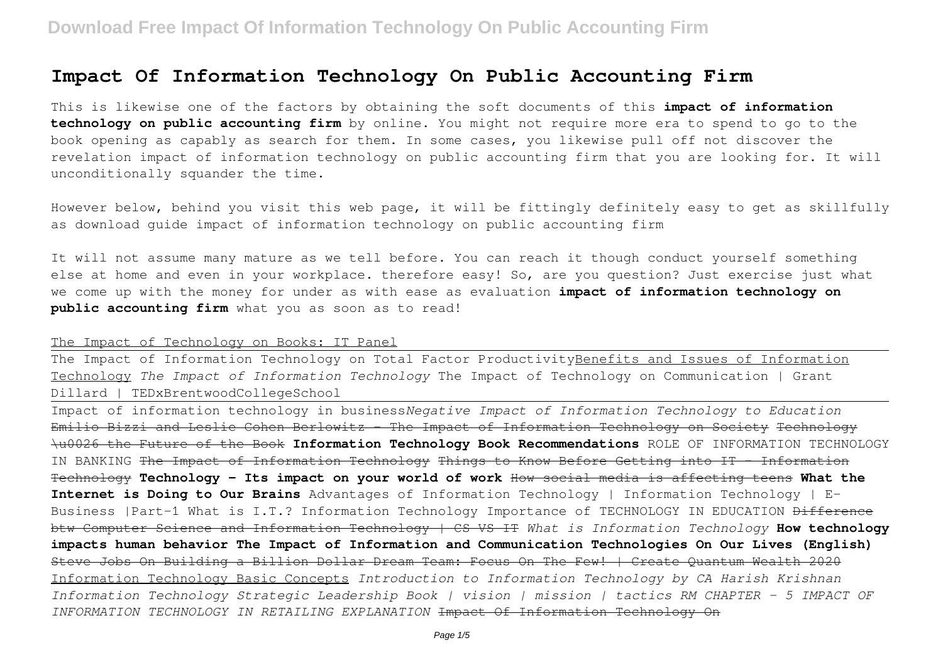# **Impact Of Information Technology On Public Accounting Firm**

This is likewise one of the factors by obtaining the soft documents of this **impact of information technology on public accounting firm** by online. You might not require more era to spend to go to the book opening as capably as search for them. In some cases, you likewise pull off not discover the revelation impact of information technology on public accounting firm that you are looking for. It will unconditionally squander the time.

However below, behind you visit this web page, it will be fittingly definitely easy to get as skillfully as download guide impact of information technology on public accounting firm

It will not assume many mature as we tell before. You can reach it though conduct yourself something else at home and even in your workplace. therefore easy! So, are you question? Just exercise just what we come up with the money for under as with ease as evaluation **impact of information technology on public accounting firm** what you as soon as to read!

The Impact of Technology on Books: IT Panel

The Impact of Information Technology on Total Factor ProductivityBenefits and Issues of Information Technology *The Impact of Information Technology* The Impact of Technology on Communication | Grant Dillard | TEDxBrentwoodCollegeSchool

Impact of information technology in business*Negative Impact of Information Technology to Education* Emilio Bizzi and Leslie Cohen Berlowitz - The Impact of Information Technology on Society Technology \u0026 the Future of the Book **Information Technology Book Recommendations** ROLE OF INFORMATION TECHNOLOGY IN BANKING The Impact of Information Technology Things to Know Before Getting into IT - Information Technology **Technology - Its impact on your world of work** How social media is affecting teens **What the Internet is Doing to Our Brains** Advantages of Information Technology | Information Technology | E-Business |Part-1 What is I.T.? Information Technology Importance of TECHNOLOGY IN EDUCATION <del>Difference</del> btw Computer Science and Information Technology | CS VS IT *What is Information Technology* **How technology impacts human behavior The Impact of Information and Communication Technologies On Our Lives (English)** Steve Jobs On Building a Billion Dollar Dream Team: Focus On The Few! | Create Quantum Wealth 2020 Information Technology Basic Concepts *Introduction to Information Technology by CA Harish Krishnan Information Technology Strategic Leadership Book | vision | mission | tactics RM CHAPTER - 5 IMPACT OF INFORMATION TECHNOLOGY IN RETAILING EXPLANATION* Impact Of Information Technology On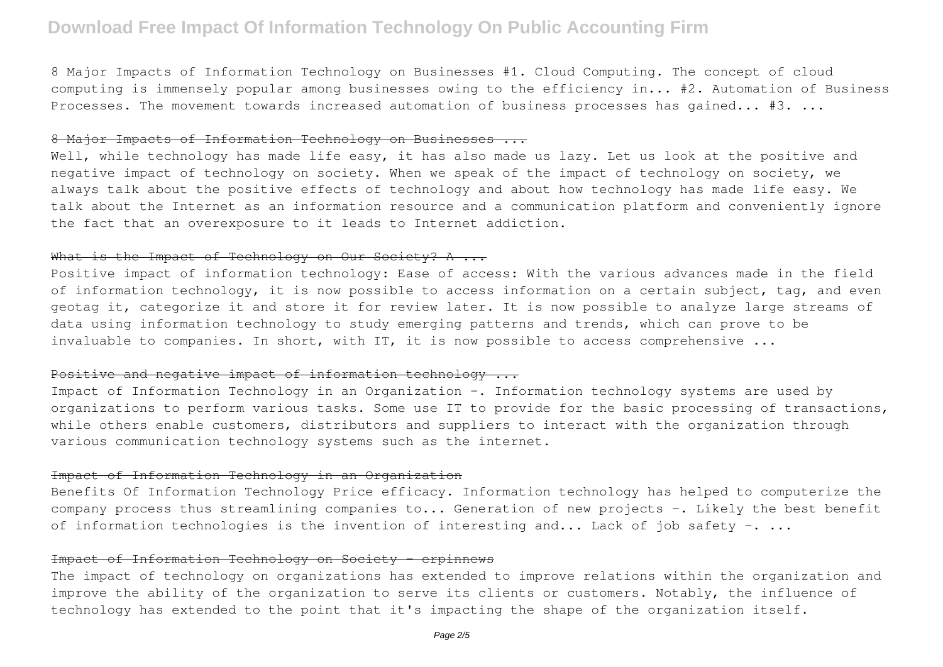8 Major Impacts of Information Technology on Businesses #1. Cloud Computing. The concept of cloud computing is immensely popular among businesses owing to the efficiency in... #2. Automation of Business Processes. The movement towards increased automation of business processes has gained... #3. ...

#### 8 Major Impacts of Information Technology on Businesses ...

Well, while technology has made life easy, it has also made us lazy. Let us look at the positive and negative impact of technology on society. When we speak of the impact of technology on society, we always talk about the positive effects of technology and about how technology has made life easy. We talk about the Internet as an information resource and a communication platform and conveniently ignore the fact that an overexposure to it leads to Internet addiction.

### What is the Impact of Technology on Our Society? A ...

Positive impact of information technology: Ease of access: With the various advances made in the field of information technology, it is now possible to access information on a certain subject, tag, and even geotag it, categorize it and store it for review later. It is now possible to analyze large streams of data using information technology to study emerging patterns and trends, which can prove to be invaluable to companies. In short, with IT, it is now possible to access comprehensive ...

#### Positive and negative impact of information technology ...

Impact of Information Technology in an Organization -. Information technology systems are used by organizations to perform various tasks. Some use IT to provide for the basic processing of transactions, while others enable customers, distributors and suppliers to interact with the organization through various communication technology systems such as the internet.

#### Impact of Information Technology in an Organization

Benefits Of Information Technology Price efficacy. Information technology has helped to computerize the company process thus streamlining companies to... Generation of new projects -. Likely the best benefit of information technologies is the invention of interesting and... Lack of job safety -. ...

#### Impact of Information Technology on Society - erpinnews

The impact of technology on organizations has extended to improve relations within the organization and improve the ability of the organization to serve its clients or customers. Notably, the influence of technology has extended to the point that it's impacting the shape of the organization itself.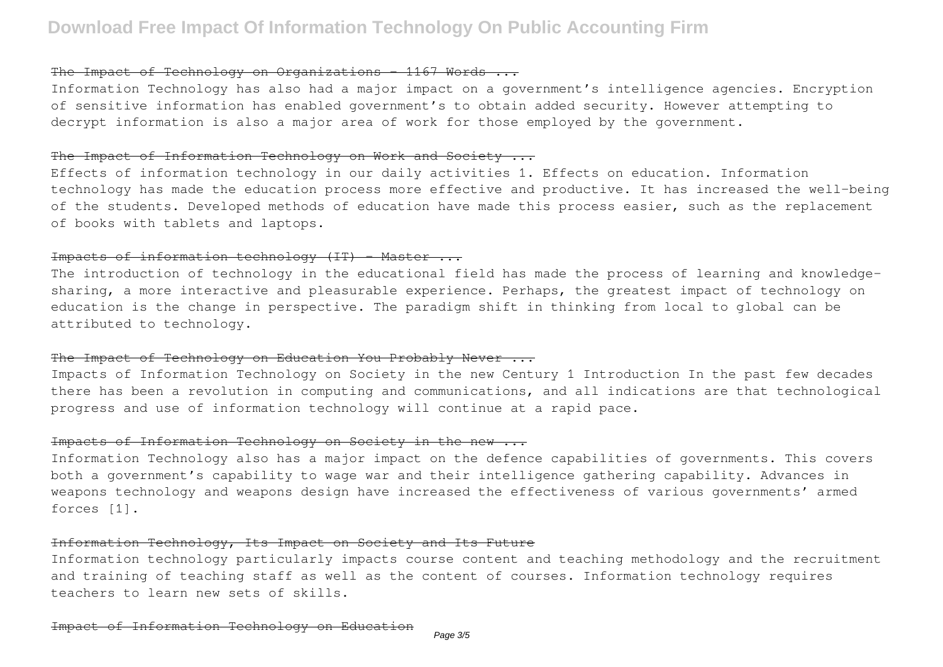### The Impact of Technology on Organizations - 1167 Words ...

Information Technology has also had a major impact on a government's intelligence agencies. Encryption of sensitive information has enabled government's to obtain added security. However attempting to decrypt information is also a major area of work for those employed by the government.

#### The Impact of Information Technology on Work and Society ...

Effects of information technology in our daily activities 1. Effects on education. Information technology has made the education process more effective and productive. It has increased the well-being of the students. Developed methods of education have made this process easier, such as the replacement of books with tablets and laptops.

### Impacts of information technology (IT) - Master ...

The introduction of technology in the educational field has made the process of learning and knowledgesharing, a more interactive and pleasurable experience. Perhaps, the greatest impact of technology on education is the change in perspective. The paradigm shift in thinking from local to global can be attributed to technology.

### The Impact of Technology on Education You Probably Never ...

Impacts of Information Technology on Society in the new Century 1 Introduction In the past few decades there has been a revolution in computing and communications, and all indications are that technological progress and use of information technology will continue at a rapid pace.

### Impacts of Information Technology on Society in the new ...

Information Technology also has a major impact on the defence capabilities of governments. This covers both a government's capability to wage war and their intelligence gathering capability. Advances in weapons technology and weapons design have increased the effectiveness of various governments' armed forces [1].

### Information Technology, Its Impact on Society and Its Future

Information technology particularly impacts course content and teaching methodology and the recruitment and training of teaching staff as well as the content of courses. Information technology requires teachers to learn new sets of skills.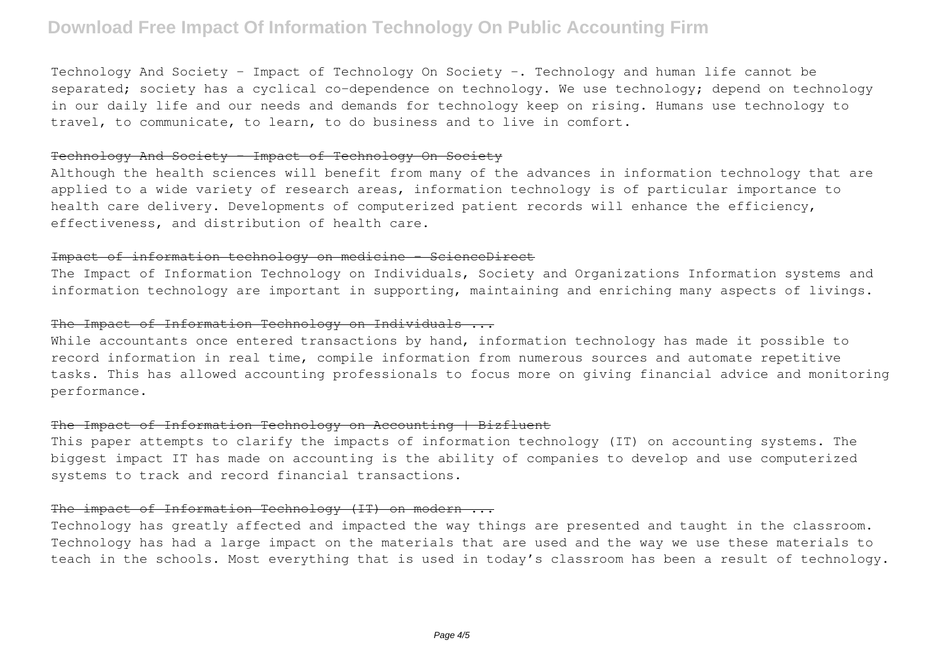Technology And Society - Impact of Technology On Society -. Technology and human life cannot be separated; society has a cyclical co-dependence on technology. We use technology; depend on technology in our daily life and our needs and demands for technology keep on rising. Humans use technology to travel, to communicate, to learn, to do business and to live in comfort.

#### Technology And Society - Impact of Technology On Society

Although the health sciences will benefit from many of the advances in information technology that are applied to a wide variety of research areas, information technology is of particular importance to health care delivery. Developments of computerized patient records will enhance the efficiency, effectiveness, and distribution of health care.

#### Impact of information technology on medicine - ScienceDirect

The Impact of Information Technology on Individuals, Society and Organizations Information systems and information technology are important in supporting, maintaining and enriching many aspects of livings.

#### The Impact of Information Technology on Individuals ...

While accountants once entered transactions by hand, information technology has made it possible to record information in real time, compile information from numerous sources and automate repetitive tasks. This has allowed accounting professionals to focus more on giving financial advice and monitoring performance.

### The Impact of Information Technology on Accounting | Bizfluent

This paper attempts to clarify the impacts of information technology (IT) on accounting systems. The biggest impact IT has made on accounting is the ability of companies to develop and use computerized systems to track and record financial transactions.

## The impact of Information Technology (IT) on modern ...

Technology has greatly affected and impacted the way things are presented and taught in the classroom. Technology has had a large impact on the materials that are used and the way we use these materials to teach in the schools. Most everything that is used in today's classroom has been a result of technology.